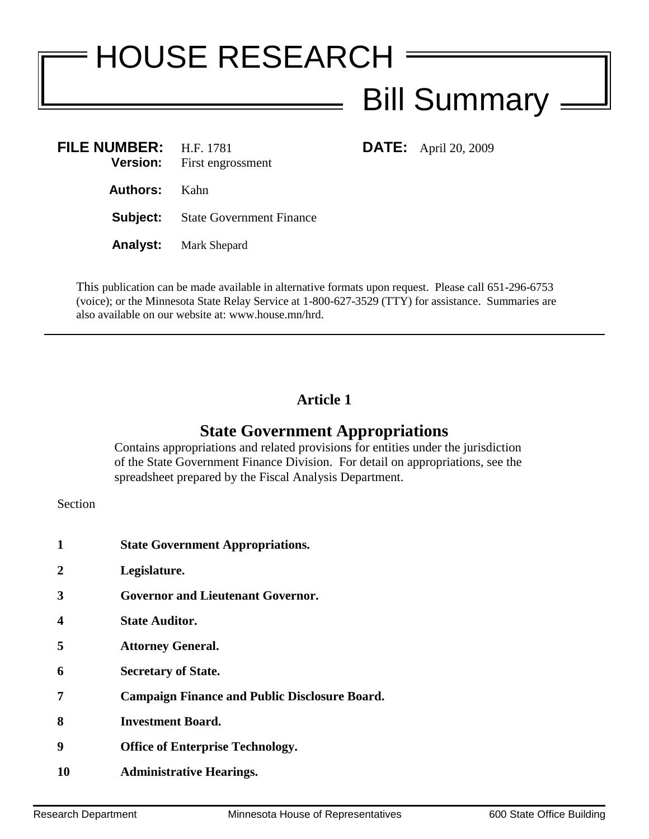# HOUSE RESEARCH Bill Summary  $=$ **FILE NUMBER:** H.F. 1781 **DATE:** April 20, 2009

**Version:** First engrossment **Authors:** Kahn **Subject:** State Government Finance **Analyst:** Mark Shepard

This publication can be made available in alternative formats upon request. Please call 651-296-6753 (voice); or the Minnesota State Relay Service at 1-800-627-3529 (TTY) for assistance. Summaries are also available on our website at: www.house.mn/hrd.

## **Article 1**

# **State Government Appropriations**

Contains appropriations and related provisions for entities under the jurisdiction of the State Government Finance Division. For detail on appropriations, see the spreadsheet prepared by the Fiscal Analysis Department.

Section

- **1 State Government Appropriations.**
- **2 Legislature.**
- **3 Governor and Lieutenant Governor.**
- **4 State Auditor.**
- **5 Attorney General.**
- **6 Secretary of State.**
- **7 Campaign Finance and Public Disclosure Board.**
- **8 Investment Board.**
- **9 Office of Enterprise Technology.**
- **10 Administrative Hearings.**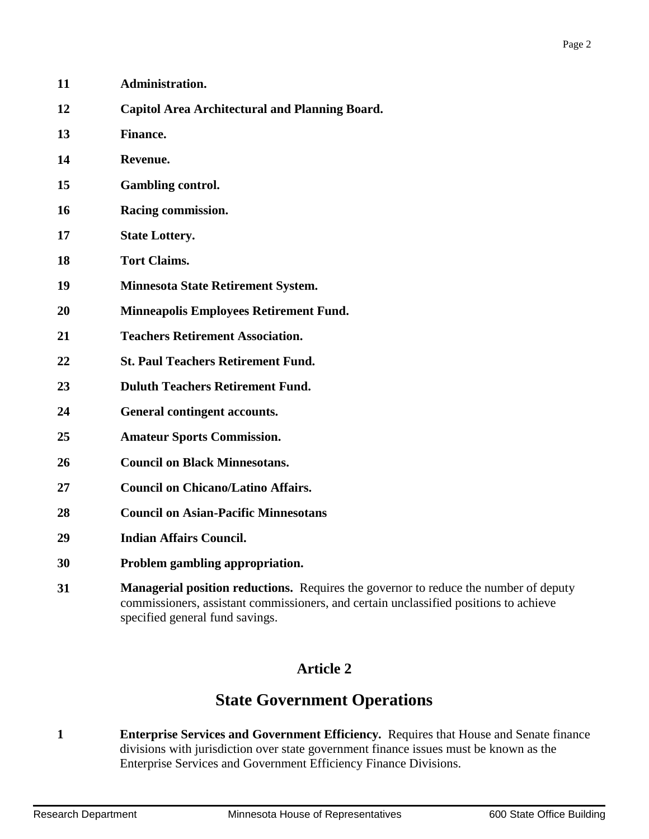| 11 | Administration.                                            |
|----|------------------------------------------------------------|
| 12 | <b>Capitol Area Architectural and Planning Board.</b>      |
| 13 | <b>Finance.</b>                                            |
| 14 | Revenue.                                                   |
| 15 | <b>Gambling control.</b>                                   |
| 16 | Racing commission.                                         |
| 17 | <b>State Lottery.</b>                                      |
| 18 | <b>Tort Claims.</b>                                        |
| 19 | <b>Minnesota State Retirement System.</b>                  |
| 20 | <b>Minneapolis Employees Retirement Fund.</b>              |
| 21 | <b>Teachers Retirement Association.</b>                    |
| 22 | <b>St. Paul Teachers Retirement Fund.</b>                  |
| 23 | <b>Duluth Teachers Retirement Fund.</b>                    |
| 24 | General contingent accounts.                               |
| 25 | <b>Amateur Sports Commission.</b>                          |
| 26 | <b>Council on Black Minnesotans.</b>                       |
| 27 | <b>Council on Chicano/Latino Affairs.</b>                  |
| 28 | <b>Council on Asian-Pacific Minnesotans</b>                |
| 29 | <b>Indian Affairs Council.</b>                             |
| 30 | Problem gambling appropriation.                            |
| 31 | <b>Managerial position reductions.</b> Requires the govern |

 **Managerial position reductions.** Requires the governor to reduce the number of deputy commissioners, assistant commissioners, and certain unclassified positions to achieve specified general fund savings.

# **Article 2**

# **State Government Operations**

 **Enterprise Services and Government Efficiency.** Requires that House and Senate finance divisions with jurisdiction over state government finance issues must be known as the Enterprise Services and Government Efficiency Finance Divisions.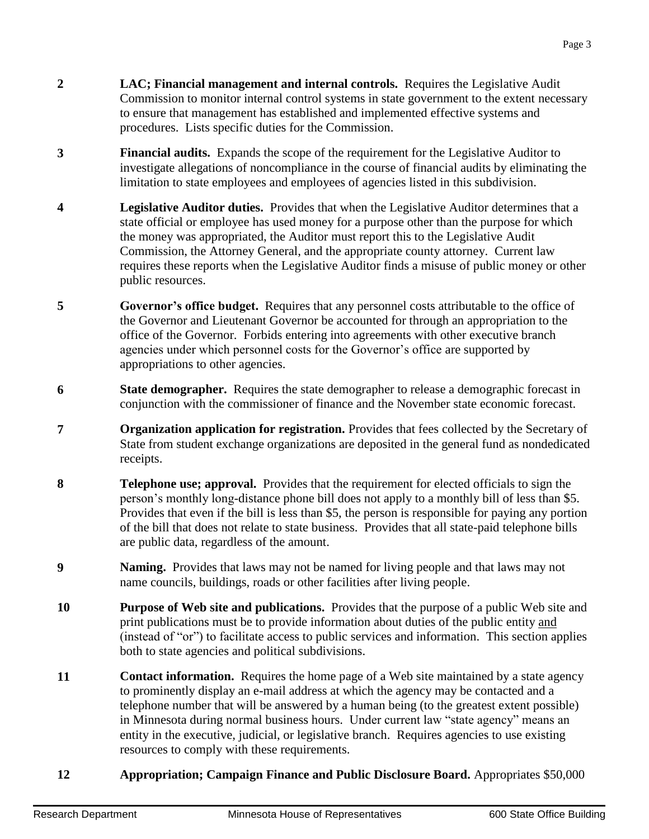- **2 LAC; Financial management and internal controls.** Requires the Legislative Audit Commission to monitor internal control systems in state government to the extent necessary to ensure that management has established and implemented effective systems and procedures. Lists specific duties for the Commission.
- **3 Financial audits.** Expands the scope of the requirement for the Legislative Auditor to investigate allegations of noncompliance in the course of financial audits by eliminating the limitation to state employees and employees of agencies listed in this subdivision.
- **4 Legislative Auditor duties.** Provides that when the Legislative Auditor determines that a state official or employee has used money for a purpose other than the purpose for which the money was appropriated, the Auditor must report this to the Legislative Audit Commission, the Attorney General, and the appropriate county attorney. Current law requires these reports when the Legislative Auditor finds a misuse of public money or other public resources.
- **5 Governor's office budget.** Requires that any personnel costs attributable to the office of the Governor and Lieutenant Governor be accounted for through an appropriation to the office of the Governor. Forbids entering into agreements with other executive branch agencies under which personnel costs for the Governor's office are supported by appropriations to other agencies.
- **6 State demographer.** Requires the state demographer to release a demographic forecast in conjunction with the commissioner of finance and the November state economic forecast.
- **7 Comparization application for registration.** Provides that fees collected by the Secretary of State from student exchange organizations are deposited in the general fund as nondedicated receipts.
- **8 Telephone use; approval.** Provides that the requirement for elected officials to sign the person's monthly long-distance phone bill does not apply to a monthly bill of less than \$5. Provides that even if the bill is less than \$5, the person is responsible for paying any portion of the bill that does not relate to state business. Provides that all state-paid telephone bills are public data, regardless of the amount.
- **9 Naming.** Provides that laws may not be named for living people and that laws may not name councils, buildings, roads or other facilities after living people.
- **10 Purpose of Web site and publications.** Provides that the purpose of a public Web site and print publications must be to provide information about duties of the public entity and (instead of "or") to facilitate access to public services and information. This section applies both to state agencies and political subdivisions.
- **11 Contact information.** Requires the home page of a Web site maintained by a state agency to prominently display an e-mail address at which the agency may be contacted and a telephone number that will be answered by a human being (to the greatest extent possible) in Minnesota during normal business hours. Under current law "state agency" means an entity in the executive, judicial, or legislative branch. Requires agencies to use existing resources to comply with these requirements.

#### **12 Appropriation; Campaign Finance and Public Disclosure Board.** Appropriates \$50,000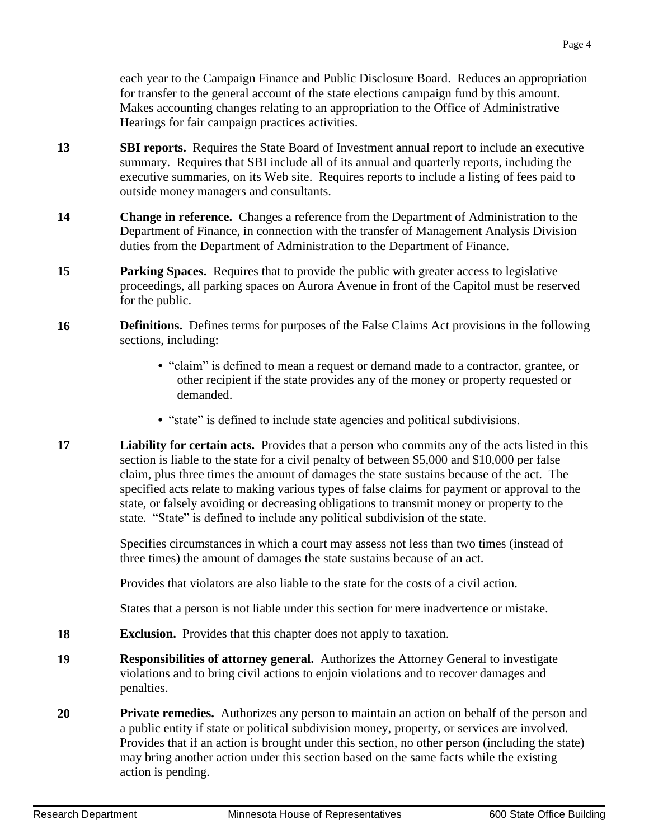each year to the Campaign Finance and Public Disclosure Board. Reduces an appropriation for transfer to the general account of the state elections campaign fund by this amount. Makes accounting changes relating to an appropriation to the Office of Administrative Hearings for fair campaign practices activities.

- **13 SBI reports.** Requires the State Board of Investment annual report to include an executive summary. Requires that SBI include all of its annual and quarterly reports, including the executive summaries, on its Web site. Requires reports to include a listing of fees paid to outside money managers and consultants.
- **14 Change in reference.** Changes a reference from the Department of Administration to the Department of Finance, in connection with the transfer of Management Analysis Division duties from the Department of Administration to the Department of Finance.
- **15 Parking Spaces.** Requires that to provide the public with greater access to legislative proceedings, all parking spaces on Aurora Avenue in front of the Capitol must be reserved for the public.
- **16 Definitions.** Defines terms for purposes of the False Claims Act provisions in the following sections, including:
	- **•** "claim" is defined to mean a request or demand made to a contractor, grantee, or other recipient if the state provides any of the money or property requested or demanded.
	- "state" is defined to include state agencies and political subdivisions.
- **17 Liability for certain acts.** Provides that a person who commits any of the acts listed in this section is liable to the state for a civil penalty of between \$5,000 and \$10,000 per false claim, plus three times the amount of damages the state sustains because of the act. The specified acts relate to making various types of false claims for payment or approval to the state, or falsely avoiding or decreasing obligations to transmit money or property to the state. "State" is defined to include any political subdivision of the state.

Specifies circumstances in which a court may assess not less than two times (instead of three times) the amount of damages the state sustains because of an act.

Provides that violators are also liable to the state for the costs of a civil action.

States that a person is not liable under this section for mere inadvertence or mistake.

- **18 Exclusion.** Provides that this chapter does not apply to taxation.
- **19 Responsibilities of attorney general.** Authorizes the Attorney General to investigate violations and to bring civil actions to enjoin violations and to recover damages and penalties.
- **20 Private remedies.** Authorizes any person to maintain an action on behalf of the person and a public entity if state or political subdivision money, property, or services are involved. Provides that if an action is brought under this section, no other person (including the state) may bring another action under this section based on the same facts while the existing action is pending.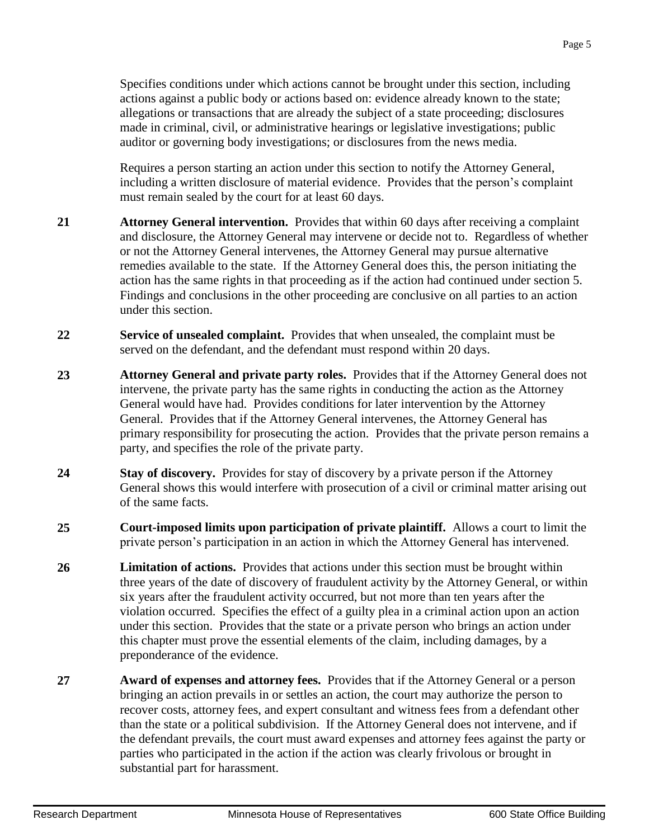Specifies conditions under which actions cannot be brought under this section, including actions against a public body or actions based on: evidence already known to the state; allegations or transactions that are already the subject of a state proceeding; disclosures made in criminal, civil, or administrative hearings or legislative investigations; public auditor or governing body investigations; or disclosures from the news media.

Requires a person starting an action under this section to notify the Attorney General, including a written disclosure of material evidence. Provides that the person's complaint must remain sealed by the court for at least 60 days.

- **21 Attorney General intervention.** Provides that within 60 days after receiving a complaint and disclosure, the Attorney General may intervene or decide not to. Regardless of whether or not the Attorney General intervenes, the Attorney General may pursue alternative remedies available to the state. If the Attorney General does this, the person initiating the action has the same rights in that proceeding as if the action had continued under section 5. Findings and conclusions in the other proceeding are conclusive on all parties to an action under this section.
- **22 Service of unsealed complaint.** Provides that when unsealed, the complaint must be served on the defendant, and the defendant must respond within 20 days.
- **23 Attorney General and private party roles.** Provides that if the Attorney General does not intervene, the private party has the same rights in conducting the action as the Attorney General would have had. Provides conditions for later intervention by the Attorney General. Provides that if the Attorney General intervenes, the Attorney General has primary responsibility for prosecuting the action. Provides that the private person remains a party, and specifies the role of the private party.
- **24 Stay of discovery.** Provides for stay of discovery by a private person if the Attorney General shows this would interfere with prosecution of a civil or criminal matter arising out of the same facts.
- **25 Court-imposed limits upon participation of private plaintiff.** Allows a court to limit the private person's participation in an action in which the Attorney General has intervened.
- **26 Limitation of actions.** Provides that actions under this section must be brought within three years of the date of discovery of fraudulent activity by the Attorney General, or within six years after the fraudulent activity occurred, but not more than ten years after the violation occurred. Specifies the effect of a guilty plea in a criminal action upon an action under this section. Provides that the state or a private person who brings an action under this chapter must prove the essential elements of the claim, including damages, by a preponderance of the evidence.
- **27 Award of expenses and attorney fees.** Provides that if the Attorney General or a person bringing an action prevails in or settles an action, the court may authorize the person to recover costs, attorney fees, and expert consultant and witness fees from a defendant other than the state or a political subdivision. If the Attorney General does not intervene, and if the defendant prevails, the court must award expenses and attorney fees against the party or parties who participated in the action if the action was clearly frivolous or brought in substantial part for harassment.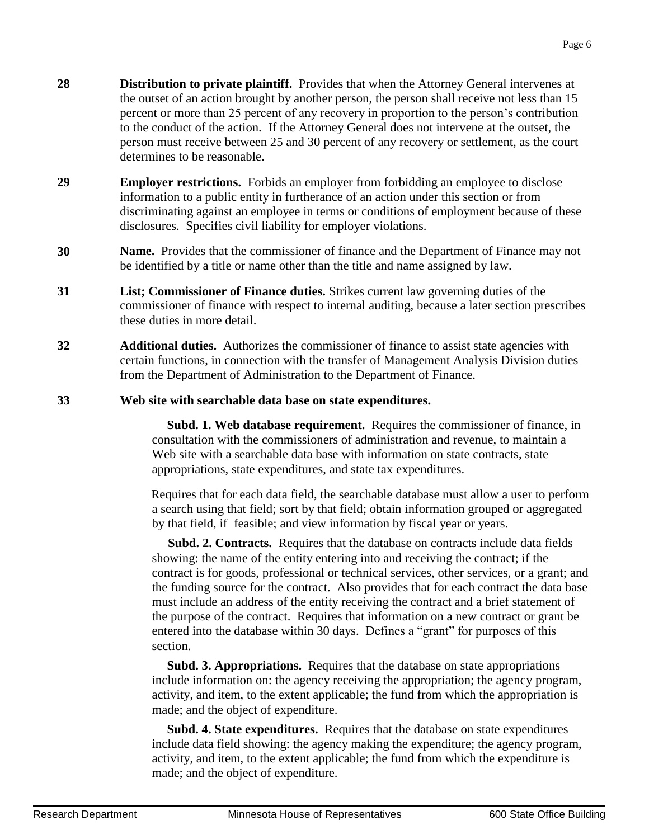- **28 Distribution to private plaintiff.** Provides that when the Attorney General intervenes at the outset of an action brought by another person, the person shall receive not less than 15 percent or more than 25 percent of any recovery in proportion to the person's contribution to the conduct of the action. If the Attorney General does not intervene at the outset, the person must receive between 25 and 30 percent of any recovery or settlement, as the court determines to be reasonable.
- **29 Employer restrictions.** Forbids an employer from forbidding an employee to disclose information to a public entity in furtherance of an action under this section or from discriminating against an employee in terms or conditions of employment because of these disclosures. Specifies civil liability for employer violations.
- **30 Name.** Provides that the commissioner of finance and the Department of Finance may not be identified by a title or name other than the title and name assigned by law.
- **31 List; Commissioner of Finance duties.** Strikes current law governing duties of the commissioner of finance with respect to internal auditing, because a later section prescribes these duties in more detail.
- **32 Additional duties.** Authorizes the commissioner of finance to assist state agencies with certain functions, in connection with the transfer of Management Analysis Division duties from the Department of Administration to the Department of Finance.
- **33 Web site with searchable data base on state expenditures.**

 **Subd. 1. Web database requirement.** Requires the commissioner of finance, in consultation with the commissioners of administration and revenue, to maintain a Web site with a searchable data base with information on state contracts, state appropriations, state expenditures, and state tax expenditures.

Requires that for each data field, the searchable database must allow a user to perform a search using that field; sort by that field; obtain information grouped or aggregated by that field, if feasible; and view information by fiscal year or years.

 **Subd. 2. Contracts.** Requires that the database on contracts include data fields showing: the name of the entity entering into and receiving the contract; if the contract is for goods, professional or technical services, other services, or a grant; and the funding source for the contract. Also provides that for each contract the data base must include an address of the entity receiving the contract and a brief statement of the purpose of the contract. Requires that information on a new contract or grant be entered into the database within 30 days. Defines a "grant" for purposes of this section.

 **Subd. 3. Appropriations.** Requires that the database on state appropriations include information on: the agency receiving the appropriation; the agency program, activity, and item, to the extent applicable; the fund from which the appropriation is made; and the object of expenditure.

 **Subd. 4. State expenditures.** Requires that the database on state expenditures include data field showing: the agency making the expenditure; the agency program, activity, and item, to the extent applicable; the fund from which the expenditure is made; and the object of expenditure.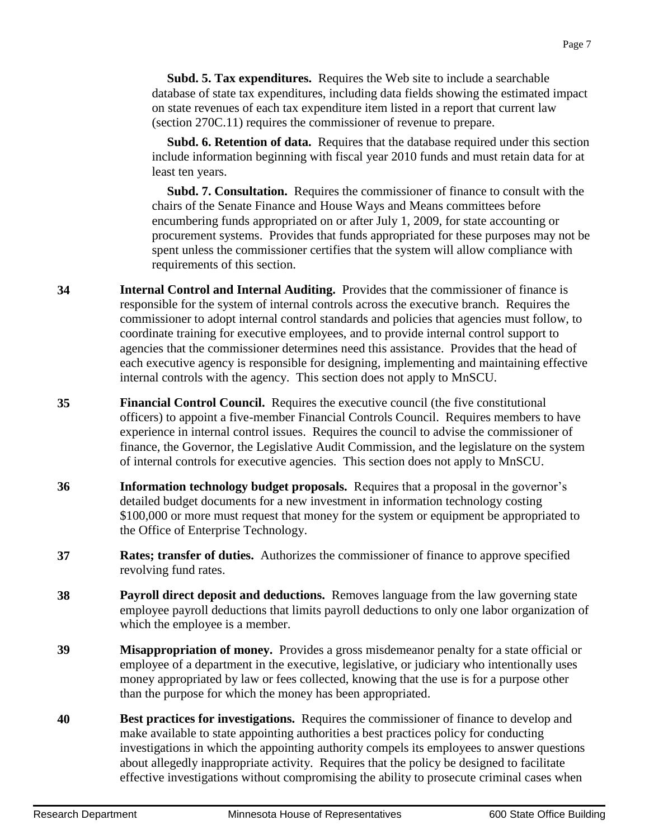**Subd. 5. Tax expenditures.** Requires the Web site to include a searchable database of state tax expenditures, including data fields showing the estimated impact on state revenues of each tax expenditure item listed in a report that current law (section 270C.11) requires the commissioner of revenue to prepare.

 **Subd. 6. Retention of data.** Requires that the database required under this section include information beginning with fiscal year 2010 funds and must retain data for at least ten years.

 **Subd. 7. Consultation.** Requires the commissioner of finance to consult with the chairs of the Senate Finance and House Ways and Means committees before encumbering funds appropriated on or after July 1, 2009, for state accounting or procurement systems. Provides that funds appropriated for these purposes may not be spent unless the commissioner certifies that the system will allow compliance with requirements of this section.

- **34 Internal Control and Internal Auditing.** Provides that the commissioner of finance is responsible for the system of internal controls across the executive branch. Requires the commissioner to adopt internal control standards and policies that agencies must follow, to coordinate training for executive employees, and to provide internal control support to agencies that the commissioner determines need this assistance. Provides that the head of each executive agency is responsible for designing, implementing and maintaining effective internal controls with the agency. This section does not apply to MnSCU.
- **35 Financial Control Council.** Requires the executive council (the five constitutional officers) to appoint a five-member Financial Controls Council. Requires members to have experience in internal control issues. Requires the council to advise the commissioner of finance, the Governor, the Legislative Audit Commission, and the legislature on the system of internal controls for executive agencies. This section does not apply to MnSCU.
- **36 Information technology budget proposals.** Requires that a proposal in the governor's detailed budget documents for a new investment in information technology costing \$100,000 or more must request that money for the system or equipment be appropriated to the Office of Enterprise Technology.
- **37 Rates; transfer of duties.** Authorizes the commissioner of finance to approve specified revolving fund rates.
- **38 Payroll direct deposit and deductions.** Removes language from the law governing state employee payroll deductions that limits payroll deductions to only one labor organization of which the employee is a member.
- **39 Misappropriation of money.** Provides a gross misdemeanor penalty for a state official or employee of a department in the executive, legislative, or judiciary who intentionally uses money appropriated by law or fees collected, knowing that the use is for a purpose other than the purpose for which the money has been appropriated.
- **40 Best practices for investigations.** Requires the commissioner of finance to develop and make available to state appointing authorities a best practices policy for conducting investigations in which the appointing authority compels its employees to answer questions about allegedly inappropriate activity. Requires that the policy be designed to facilitate effective investigations without compromising the ability to prosecute criminal cases when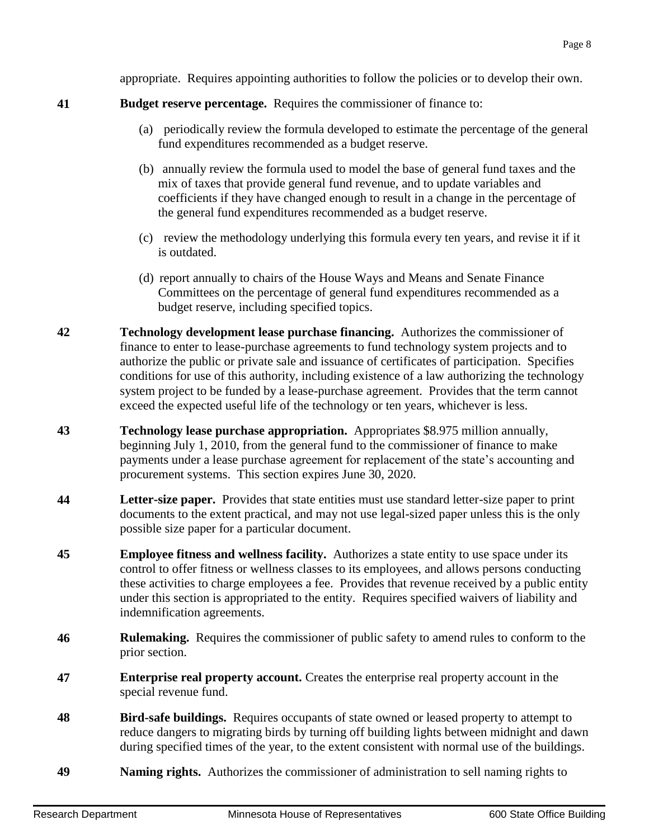**45 Employee fitness and wellness facility.** Authorizes a state entity to use space under its

control to offer fitness or wellness classes to its employees, and allows persons conducting these activities to charge employees a fee. Provides that revenue received by a public entity under this section is appropriated to the entity. Requires specified waivers of liability and indemnification agreements.

- **46 Rulemaking.** Requires the commissioner of public safety to amend rules to conform to the prior section.
- **47 Enterprise real property account.** Creates the enterprise real property account in the special revenue fund.
- **48 Bird-safe buildings.** Requires occupants of state owned or leased property to attempt to reduce dangers to migrating birds by turning off building lights between midnight and dawn during specified times of the year, to the extent consistent with normal use of the buildings.
- **49 Naming rights.** Authorizes the commissioner of administration to sell naming rights to

appropriate. Requires appointing authorities to follow the policies or to develop their own.

#### **41 Budget reserve percentage.** Requires the commissioner of finance to:

- (a) periodically review the formula developed to estimate the percentage of the general fund expenditures recommended as a budget reserve.
- (b) annually review the formula used to model the base of general fund taxes and the mix of taxes that provide general fund revenue, and to update variables and coefficients if they have changed enough to result in a change in the percentage of the general fund expenditures recommended as a budget reserve.
- (c) review the methodology underlying this formula every ten years, and revise it if it is outdated.
- (d) report annually to chairs of the House Ways and Means and Senate Finance Committees on the percentage of general fund expenditures recommended as a budget reserve, including specified topics.
- **42 Technology development lease purchase financing.** Authorizes the commissioner of finance to enter to lease-purchase agreements to fund technology system projects and to authorize the public or private sale and issuance of certificates of participation. Specifies conditions for use of this authority, including existence of a law authorizing the technology system project to be funded by a lease-purchase agreement. Provides that the term cannot exceed the expected useful life of the technology or ten years, whichever is less.
- **43 Technology lease purchase appropriation.** Appropriates \$8.975 million annually, beginning July 1, 2010, from the general fund to the commissioner of finance to make payments under a lease purchase agreement for replacement of the state's accounting and procurement systems. This section expires June 30, 2020.
- **44 Letter-size paper.** Provides that state entities must use standard letter-size paper to print documents to the extent practical, and may not use legal-sized paper unless this is the only possible size paper for a particular document.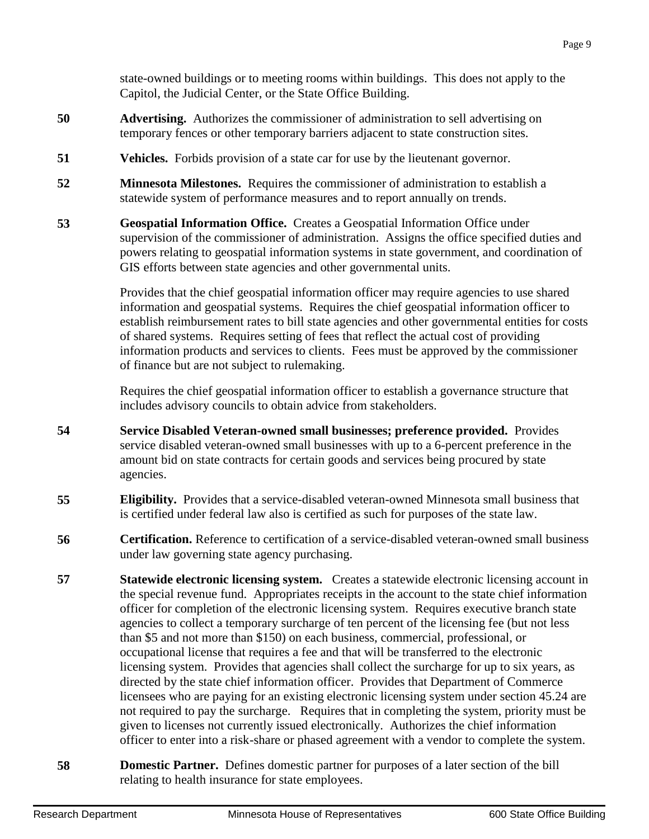state-owned buildings or to meeting rooms within buildings. This does not apply to the Capitol, the Judicial Center, or the State Office Building.

- **50 Advertising.** Authorizes the commissioner of administration to sell advertising on temporary fences or other temporary barriers adjacent to state construction sites.
- **51 Vehicles.** Forbids provision of a state car for use by the lieutenant governor.
- **52 Minnesota Milestones.** Requires the commissioner of administration to establish a statewide system of performance measures and to report annually on trends.
- **53 Geospatial Information Office.** Creates a Geospatial Information Office under supervision of the commissioner of administration. Assigns the office specified duties and powers relating to geospatial information systems in state government, and coordination of GIS efforts between state agencies and other governmental units.

Provides that the chief geospatial information officer may require agencies to use shared information and geospatial systems. Requires the chief geospatial information officer to establish reimbursement rates to bill state agencies and other governmental entities for costs of shared systems. Requires setting of fees that reflect the actual cost of providing information products and services to clients. Fees must be approved by the commissioner of finance but are not subject to rulemaking.

Requires the chief geospatial information officer to establish a governance structure that includes advisory councils to obtain advice from stakeholders.

- **54 Service Disabled Veteran-owned small businesses; preference provided.** Provides service disabled veteran-owned small businesses with up to a 6-percent preference in the amount bid on state contracts for certain goods and services being procured by state agencies.
- **55 Eligibility.** Provides that a service-disabled veteran-owned Minnesota small business that is certified under federal law also is certified as such for purposes of the state law.
- **56 Certification.** Reference to certification of a service-disabled veteran-owned small business under law governing state agency purchasing.
- **57 Statewide electronic licensing system.** Creates a statewide electronic licensing account in the special revenue fund. Appropriates receipts in the account to the state chief information officer for completion of the electronic licensing system. Requires executive branch state agencies to collect a temporary surcharge of ten percent of the licensing fee (but not less than \$5 and not more than \$150) on each business, commercial, professional, or occupational license that requires a fee and that will be transferred to the electronic licensing system. Provides that agencies shall collect the surcharge for up to six years, as directed by the state chief information officer. Provides that Department of Commerce licensees who are paying for an existing electronic licensing system under section 45.24 are not required to pay the surcharge. Requires that in completing the system, priority must be given to licenses not currently issued electronically. Authorizes the chief information officer to enter into a risk-share or phased agreement with a vendor to complete the system.
- **58 Domestic Partner.** Defines domestic partner for purposes of a later section of the bill relating to health insurance for state employees.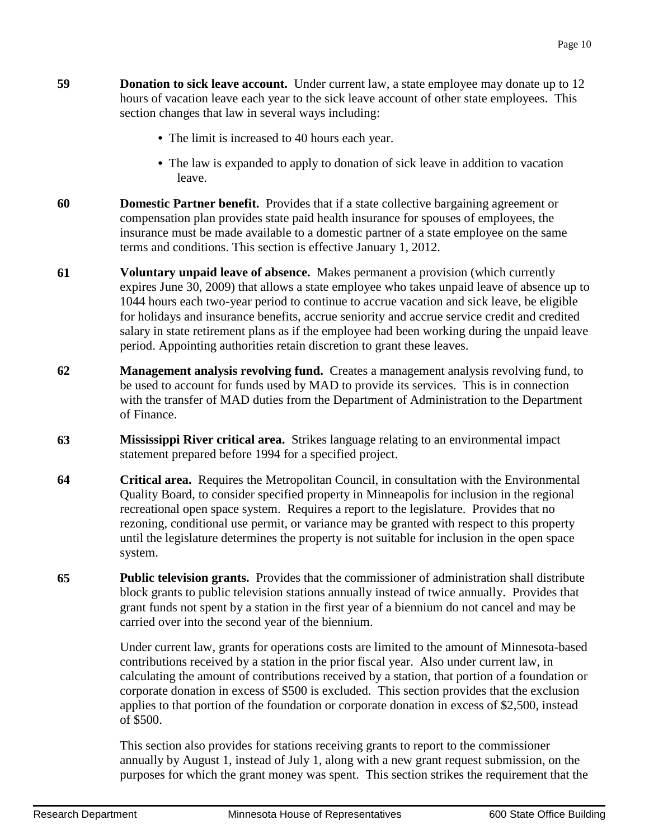- **59 Donation to sick leave account.** Under current law, a state employee may donate up to 12 hours of vacation leave each year to the sick leave account of other state employees. This section changes that law in several ways including:
	- The limit is increased to 40 hours each year.
	- **•** The law is expanded to apply to donation of sick leave in addition to vacation leave.
- **60 Domestic Partner benefit.** Provides that if a state collective bargaining agreement or compensation plan provides state paid health insurance for spouses of employees, the insurance must be made available to a domestic partner of a state employee on the same terms and conditions. This section is effective January 1, 2012.
- **61 Voluntary unpaid leave of absence.** Makes permanent a provision (which currently expires June 30, 2009) that allows a state employee who takes unpaid leave of absence up to 1044 hours each two-year period to continue to accrue vacation and sick leave, be eligible for holidays and insurance benefits, accrue seniority and accrue service credit and credited salary in state retirement plans as if the employee had been working during the unpaid leave period. Appointing authorities retain discretion to grant these leaves.
- **62 Management analysis revolving fund.** Creates a management analysis revolving fund, to be used to account for funds used by MAD to provide its services. This is in connection with the transfer of MAD duties from the Department of Administration to the Department of Finance.
- **63 Mississippi River critical area.** Strikes language relating to an environmental impact statement prepared before 1994 for a specified project.
- **64 Critical area.** Requires the Metropolitan Council, in consultation with the Environmental Quality Board, to consider specified property in Minneapolis for inclusion in the regional recreational open space system. Requires a report to the legislature. Provides that no rezoning, conditional use permit, or variance may be granted with respect to this property until the legislature determines the property is not suitable for inclusion in the open space system.
- **65 Public television grants.** Provides that the commissioner of administration shall distribute block grants to public television stations annually instead of twice annually. Provides that grant funds not spent by a station in the first year of a biennium do not cancel and may be carried over into the second year of the biennium.

Under current law, grants for operations costs are limited to the amount of Minnesota-based contributions received by a station in the prior fiscal year. Also under current law, in calculating the amount of contributions received by a station, that portion of a foundation or corporate donation in excess of \$500 is excluded. This section provides that the exclusion applies to that portion of the foundation or corporate donation in excess of \$2,500, instead of \$500.

This section also provides for stations receiving grants to report to the commissioner annually by August 1, instead of July 1, along with a new grant request submission, on the purposes for which the grant money was spent. This section strikes the requirement that the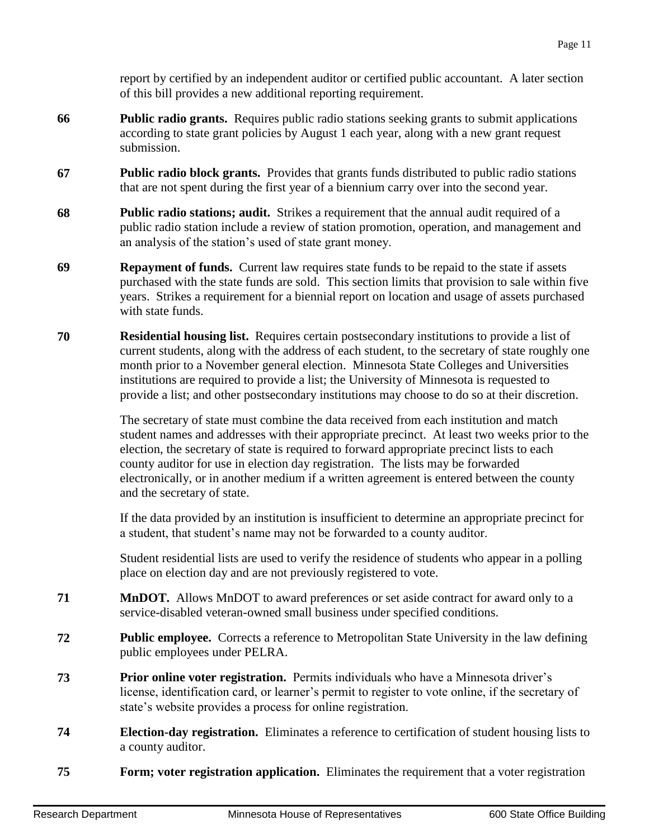report by certified by an independent auditor or certified public accountant. A later section of this bill provides a new additional reporting requirement.

- **66 Public radio grants.** Requires public radio stations seeking grants to submit applications according to state grant policies by August 1 each year, along with a new grant request submission.
- **67 Public radio block grants.** Provides that grants funds distributed to public radio stations that are not spent during the first year of a biennium carry over into the second year.
- **68 Public radio stations; audit.** Strikes a requirement that the annual audit required of a public radio station include a review of station promotion, operation, and management and an analysis of the station's used of state grant money.
- **69 Repayment of funds.** Current law requires state funds to be repaid to the state if assets purchased with the state funds are sold. This section limits that provision to sale within five years. Strikes a requirement for a biennial report on location and usage of assets purchased with state funds.
- **70 Residential housing list.** Requires certain postsecondary institutions to provide a list of current students, along with the address of each student, to the secretary of state roughly one month prior to a November general election. Minnesota State Colleges and Universities institutions are required to provide a list; the University of Minnesota is requested to provide a list; and other postsecondary institutions may choose to do so at their discretion.

The secretary of state must combine the data received from each institution and match student names and addresses with their appropriate precinct. At least two weeks prior to the election, the secretary of state is required to forward appropriate precinct lists to each county auditor for use in election day registration. The lists may be forwarded electronically, or in another medium if a written agreement is entered between the county and the secretary of state.

If the data provided by an institution is insufficient to determine an appropriate precinct for a student, that student's name may not be forwarded to a county auditor.

Student residential lists are used to verify the residence of students who appear in a polling place on election day and are not previously registered to vote.

- **71 MnDOT.** Allows MnDOT to award preferences or set aside contract for award only to a service-disabled veteran-owned small business under specified conditions.
- **72 Public employee.** Corrects a reference to Metropolitan State University in the law defining public employees under PELRA.
- **73 Prior online voter registration.** Permits individuals who have a Minnesota driver's license, identification card, or learner's permit to register to vote online, if the secretary of state's website provides a process for online registration.
- **74 Election-day registration.** Eliminates a reference to certification of student housing lists to a county auditor.
- **75 Form; voter registration application.** Eliminates the requirement that a voter registration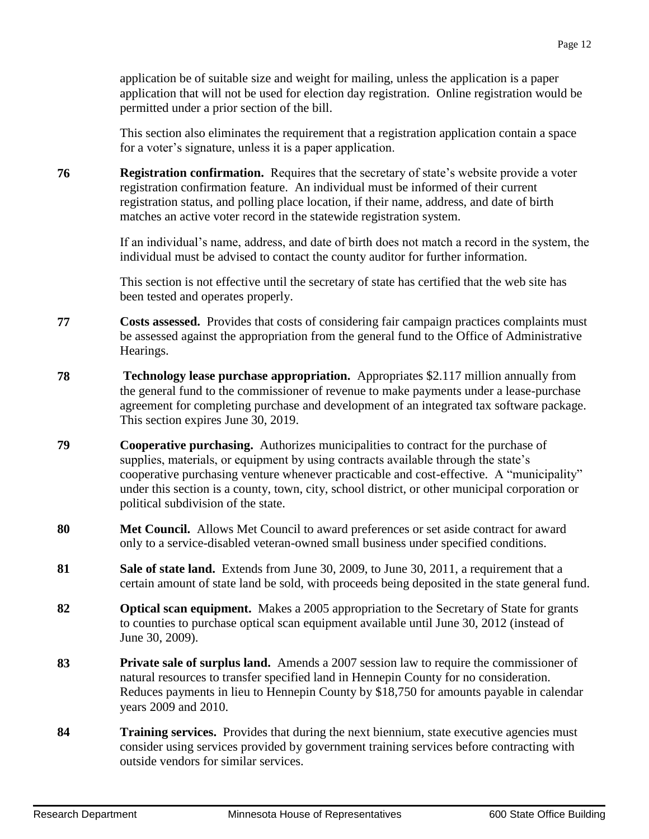application be of suitable size and weight for mailing, unless the application is a paper application that will not be used for election day registration. Online registration would be permitted under a prior section of the bill.

This section also eliminates the requirement that a registration application contain a space for a voter's signature, unless it is a paper application.

**76 Registration confirmation.** Requires that the secretary of state's website provide a voter registration confirmation feature. An individual must be informed of their current registration status, and polling place location, if their name, address, and date of birth matches an active voter record in the statewide registration system.

> If an individual's name, address, and date of birth does not match a record in the system, the individual must be advised to contact the county auditor for further information.

This section is not effective until the secretary of state has certified that the web site has been tested and operates properly.

- **77 Costs assessed.** Provides that costs of considering fair campaign practices complaints must be assessed against the appropriation from the general fund to the Office of Administrative Hearings.
- **78 Technology lease purchase appropriation.** Appropriates \$2.117 million annually from the general fund to the commissioner of revenue to make payments under a lease-purchase agreement for completing purchase and development of an integrated tax software package. This section expires June 30, 2019.
- **79 Cooperative purchasing.** Authorizes municipalities to contract for the purchase of supplies, materials, or equipment by using contracts available through the state's cooperative purchasing venture whenever practicable and cost-effective. A "municipality" under this section is a county, town, city, school district, or other municipal corporation or political subdivision of the state.
- **80 Met Council.** Allows Met Council to award preferences or set aside contract for award only to a service-disabled veteran-owned small business under specified conditions.
- **81 Sale of state land.** Extends from June 30, 2009, to June 30, 2011, a requirement that a certain amount of state land be sold, with proceeds being deposited in the state general fund.
- **82 Optical scan equipment.** Makes a 2005 appropriation to the Secretary of State for grants to counties to purchase optical scan equipment available until June 30, 2012 (instead of June 30, 2009).
- **83 Private sale of surplus land.** Amends a 2007 session law to require the commissioner of natural resources to transfer specified land in Hennepin County for no consideration. Reduces payments in lieu to Hennepin County by \$18,750 for amounts payable in calendar years 2009 and 2010.
- **84 Training services.** Provides that during the next biennium, state executive agencies must consider using services provided by government training services before contracting with outside vendors for similar services.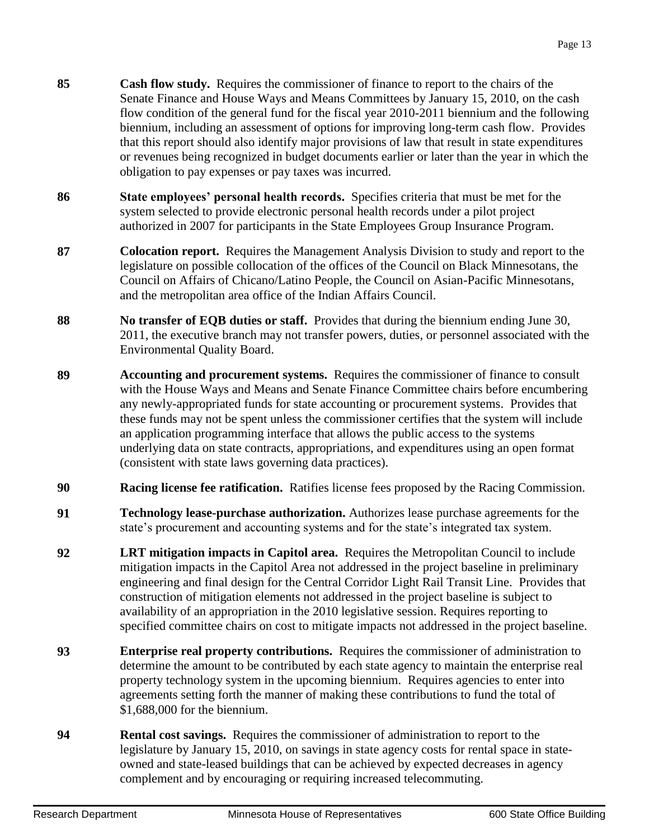- **85 Cash flow study.** Requires the commissioner of finance to report to the chairs of the Senate Finance and House Ways and Means Committees by January 15, 2010, on the cash flow condition of the general fund for the fiscal year 2010-2011 biennium and the following biennium, including an assessment of options for improving long-term cash flow. Provides that this report should also identify major provisions of law that result in state expenditures or revenues being recognized in budget documents earlier or later than the year in which the obligation to pay expenses or pay taxes was incurred.
- **86 State employees' personal health records.** Specifies criteria that must be met for the system selected to provide electronic personal health records under a pilot project authorized in 2007 for participants in the State Employees Group Insurance Program.
- **87 Colocation report.** Requires the Management Analysis Division to study and report to the legislature on possible collocation of the offices of the Council on Black Minnesotans, the Council on Affairs of Chicano/Latino People, the Council on Asian-Pacific Minnesotans, and the metropolitan area office of the Indian Affairs Council.
- **88 No transfer of EQB duties or staff.** Provides that during the biennium ending June 30, 2011, the executive branch may not transfer powers, duties, or personnel associated with the Environmental Quality Board.
- **89 Accounting and procurement systems.** Requires the commissioner of finance to consult with the House Ways and Means and Senate Finance Committee chairs before encumbering any newly-appropriated funds for state accounting or procurement systems. Provides that these funds may not be spent unless the commissioner certifies that the system will include an application programming interface that allows the public access to the systems underlying data on state contracts, appropriations, and expenditures using an open format (consistent with state laws governing data practices).
- **90 Racing license fee ratification.** Ratifies license fees proposed by the Racing Commission.
- **91 Technology lease-purchase authorization.** Authorizes lease purchase agreements for the state's procurement and accounting systems and for the state's integrated tax system.
- **92 LRT mitigation impacts in Capitol area.** Requires the Metropolitan Council to include mitigation impacts in the Capitol Area not addressed in the project baseline in preliminary engineering and final design for the Central Corridor Light Rail Transit Line. Provides that construction of mitigation elements not addressed in the project baseline is subject to availability of an appropriation in the 2010 legislative session. Requires reporting to specified committee chairs on cost to mitigate impacts not addressed in the project baseline.
- **93 Enterprise real property contributions.** Requires the commissioner of administration to determine the amount to be contributed by each state agency to maintain the enterprise real property technology system in the upcoming biennium. Requires agencies to enter into agreements setting forth the manner of making these contributions to fund the total of \$1,688,000 for the biennium.
- **94 Rental cost savings.** Requires the commissioner of administration to report to the legislature by January 15, 2010, on savings in state agency costs for rental space in stateowned and state-leased buildings that can be achieved by expected decreases in agency complement and by encouraging or requiring increased telecommuting.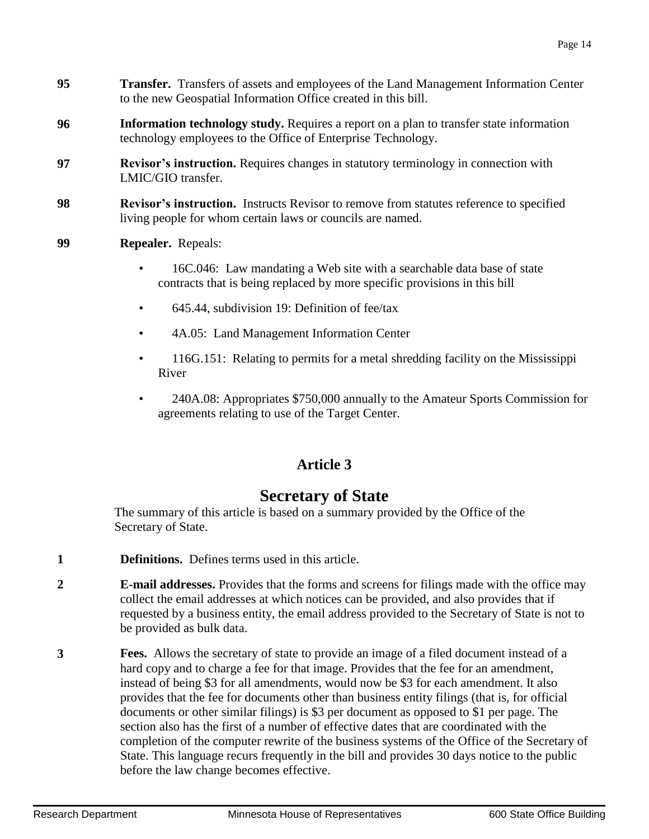- **95 Transfer.** Transfers of assets and employees of the Land Management Information Center to the new Geospatial Information Office created in this bill.
- **96 Information technology study.** Requires a report on a plan to transfer state information technology employees to the Office of Enterprise Technology.
- **97 Revisor's instruction.** Requires changes in statutory terminology in connection with LMIC/GIO transfer.
- **98 Revisor's instruction.** Instructs Revisor to remove from statutes reference to specified living people for whom certain laws or councils are named.
- **99 Repealer.** Repeals:
	- 16C.046: Law mandating a Web site with a searchable data base of state contracts that is being replaced by more specific provisions in this bill
	- 645.44, subdivision 19: Definition of fee/tax
	- 4A.05: Land Management Information Center
	- 116G.151: Relating to permits for a metal shredding facility on the Mississippi River
	- 240A.08: Appropriates \$750,000 annually to the Amateur Sports Commission for agreements relating to use of the Target Center.

### **Article 3**

### **Secretary of State**

The summary of this article is based on a summary provided by the Office of the Secretary of State.

- **1 Definitions.** Defines terms used in this article.
- **2 E-mail addresses.** Provides that the forms and screens for filings made with the office may collect the email addresses at which notices can be provided, and also provides that if requested by a business entity, the email address provided to the Secretary of State is not to be provided as bulk data.
- **3 Fees.** Allows the secretary of state to provide an image of a filed document instead of a hard copy and to charge a fee for that image. Provides that the fee for an amendment, instead of being \$3 for all amendments, would now be \$3 for each amendment. It also provides that the fee for documents other than business entity filings (that is, for official documents or other similar filings) is \$3 per document as opposed to \$1 per page. The section also has the first of a number of effective dates that are coordinated with the completion of the computer rewrite of the business systems of the Office of the Secretary of State. This language recurs frequently in the bill and provides 30 days notice to the public before the law change becomes effective.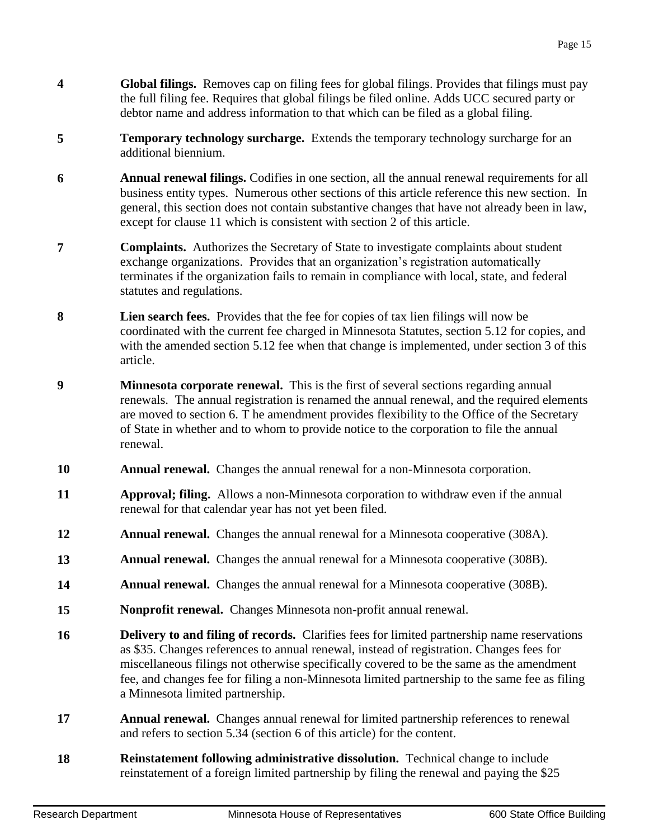- **4 Global filings.** Removes cap on filing fees for global filings. Provides that filings must pay the full filing fee. Requires that global filings be filed online. Adds UCC secured party or debtor name and address information to that which can be filed as a global filing.
- **5 Temporary technology surcharge.** Extends the temporary technology surcharge for an additional biennium.
- **6 Annual renewal filings.** Codifies in one section, all the annual renewal requirements for all business entity types. Numerous other sections of this article reference this new section. In general, this section does not contain substantive changes that have not already been in law, except for clause 11 which is consistent with section 2 of this article.
- **7 Complaints.** Authorizes the Secretary of State to investigate complaints about student exchange organizations. Provides that an organization's registration automatically terminates if the organization fails to remain in compliance with local, state, and federal statutes and regulations.
- **8 Lien search fees.** Provides that the fee for copies of tax lien filings will now be coordinated with the current fee charged in Minnesota Statutes, section 5.12 for copies, and with the amended section 5.12 fee when that change is implemented, under section 3 of this article.
- **9 Minnesota corporate renewal.** This is the first of several sections regarding annual renewals. The annual registration is renamed the annual renewal, and the required elements are moved to section 6. T he amendment provides flexibility to the Office of the Secretary of State in whether and to whom to provide notice to the corporation to file the annual renewal.
- **10 Annual renewal.** Changes the annual renewal for a non-Minnesota corporation.
- **11 Approval; filing.** Allows a non-Minnesota corporation to withdraw even if the annual renewal for that calendar year has not yet been filed.
- **12 Annual renewal.** Changes the annual renewal for a Minnesota cooperative (308A).
- **13 Annual renewal.** Changes the annual renewal for a Minnesota cooperative (308B).
- **14 Annual renewal.** Changes the annual renewal for a Minnesota cooperative (308B).
- **15 Nonprofit renewal.** Changes Minnesota non-profit annual renewal.
- **16 Delivery to and filing of records.** Clarifies fees for limited partnership name reservations as \$35. Changes references to annual renewal, instead of registration. Changes fees for miscellaneous filings not otherwise specifically covered to be the same as the amendment fee, and changes fee for filing a non-Minnesota limited partnership to the same fee as filing a Minnesota limited partnership.
- **17 Annual renewal.** Changes annual renewal for limited partnership references to renewal and refers to section 5.34 (section 6 of this article) for the content.
- **18 Reinstatement following administrative dissolution.** Technical change to include reinstatement of a foreign limited partnership by filing the renewal and paying the \$25